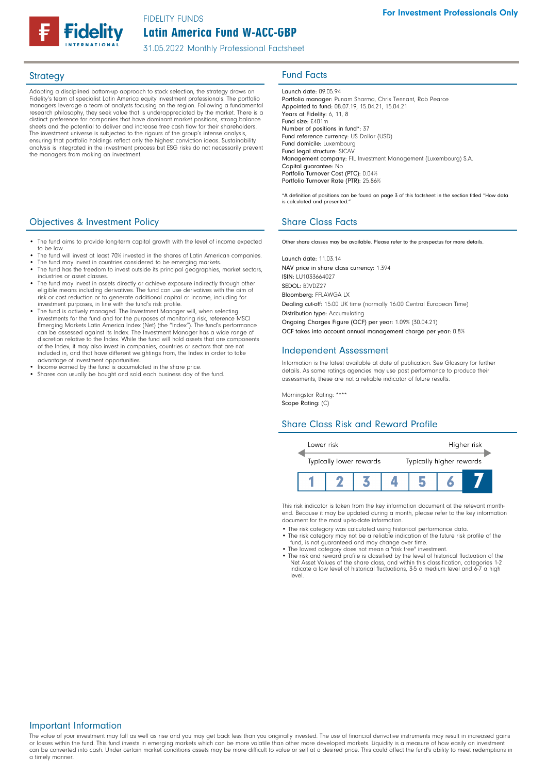

# Latin America Fund W-ACC-GBP FIDELITY FUNDS

31.05.2022 Monthly Professional Factsheet

Adopting a disciplined bottom-up approach to stock selection, the strategy draws on Fidelity's team of specialist Latin America equity investment professionals. The portfolio managers leverage a team of analysts focusing on the region. Following a fundamental research philosophy, they seek value that is underappreciated by the market. There is a distinct preference for companies that have dominant market positions, strong balance sheets and the potential to deliver and increase free cash flow for their shareholders. The investment universe is subjected to the rigours of the group's intense analysis, ensuring that portfolio holdings reflect only the highest conviction ideas. Sustainability analysis is integrated in the investment process but ESG risks do not necessarily prevent the managers from making an investment.

# **Objectives & Investment Policy Share Class Facts** Share Class Facts

- The fund aims to provide long-term capital growth with the level of income expected to be low.
- The fund will invest at least 70% invested in the shares of Latin American companies.
- The fund may invest in countries considered to be emerging markets.
- The fund has the freedom to invest outside its principal geographies, market sectors, industries or asset classes.
- The fund may invest in assets directly or achieve exposure indirectly through other eligible means including derivatives. The fund can use derivatives with the aim of risk or cost reduction or to generate additional capital or income, including for investment purposes, in line with the fund's risk profile.
- The fund is actively managed. The Investment Manager will, when selecting<br>investments for the fund and for the purposes of monitoring risk, reference MSCI<br>Emerging Markets Latin America Index (Net) (the "Index"). The fun can be assessed against its Index. The Investment Manager has a wide range of discretion relative to the Index. While the fund will hold assets that are components of the Index, it may also invest in companies, countries or sectors that are not included in, and that have different weightings from, the Index in order to take advantage of investment opportunities.
- Income earned by the fund is accumulated in the share price.
- Shares can usually be bought and sold each business day of the fund.

# Strategy **Fund Facts**

Launch date: 09.05.94 Portfolio manager: Punam Sharma, Chris Tennant, Rob Pearce Appointed to fund: 08.07.19, 15.04.21, 15.04.21 Years at Fidelity: 6, 11, 8 Fund size: £401m Number of positions in fund\*: 37 Fund reference currency: US Dollar (USD) Fund domicile: Luxembourg Fund legal structure: SICAV Management company: FIL Investment Management (Luxembourg) S.A. Capital guarantee: No Portfolio Turnover Cost (PTC): 0.04% Portfolio Turnover Rate (PTR): 25.86%

\*A definition of positions can be found on page 3 of this factsheet in the section titled "How data is calculated and presented."

Other share classes may be available. Please refer to the prospectus for more details.

Launch date: 11.03.14 NAV price in share class currency: 1.394 ISIN: LU1033664027 SEDOL: BJVDZ27 Bloomberg: FFLAWGA LX Dealing cut-off: 15:00 UK time (normally 16:00 Central European Time) Distribution type: Accumulating Ongoing Charges Figure (OCF) per year: 1.09% (30.04.21) OCF takes into account annual management charge per year: 0.8%

#### Independent Assessment

Information is the latest available at date of publication. See Glossary for further details. As some ratings agencies may use past performance to produce their assessments, these are not a reliable indicator of future results.

Morningstar Rating: \*\*\*\* Scope Rating: (C)

## Share Class Risk and Reward Profile



This risk indicator is taken from the key information document at the relevant monthend. Because it may be updated during a month, please refer to the key information document for the most up-to-date information.

- The risk category was calculated using historical performance data.
- The risk category may not be a reliable indication of the future risk profile of the fund, is not guaranteed and may change over time.
- The lowest category does not mean a "risk free" investment. The risk and reward profile is classified by the level of historical fluctuation of the
- Net Asset Values of the share class, and within this classification, categories 1-2 indicate a low level of historical fluctuations, 3-5 a medium level and 6-7 a high level.

#### Important Information

The value of your investment may fall as well as rise and you may get back less than you originally invested. The use of financial derivative instruments may result in increased gains or losses within the fund. This fund invests in emerging markets which can be more volatile than other more developed markets. Liquidity is a measure of how easily an investment can be converted into cash. Under certain market conditions assets may be more difficult to value or sell at a desired price. This could affect the fund's ability to meet redemptions in a timely manner.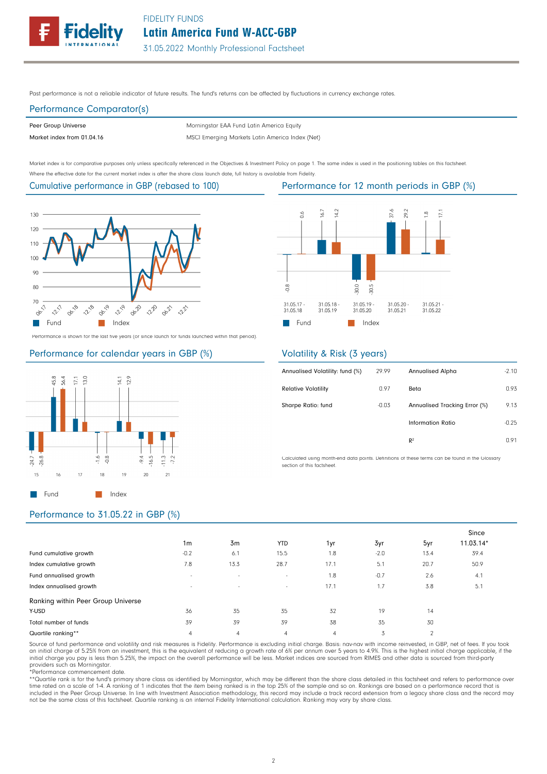

Past performance is not a reliable indicator of future results. The fund's returns can be affected by fluctuations in currency exchange rates.

# Performance Comparator(s)

Peer Group Universe

Market index from 01.04.16 MSCI Emerging Markets Latin America Index (Net) Morningstar EAA Fund Latin America Equity

Market index is for comparative purposes only unless specifically referenced in the Objectives & Investment Policy on page 1. The same index is used in the positioning tables on this factsheet. Where the effective date for the current market index is after the share class launch date, full history is available from Fidelity.

#### Cumulative performance in GBP (rebased to 100)



Performance is shown for the last five years (or since launch for funds launched within that period).

# Performance for calendar years in GBP (%)



#### 16.7  $\frac{4}{2}$ 87.6 **2.6**  $\overline{\Xi}$  $\delta$ œ  $\frac{8}{2}$ 80.0 80.5 31.05.18<br>31.05.19 31.05.19 31.05.20<br>31.05.21 31.05.21<br>31.05.22 31.05.17 31.05.18 31.05.20 **Fund** Index

# Volatility & Risk (3 years)

| Annualised Volatility: fund (%) | 29.99   | <b>Annualised Alpha</b>       | $-2.10$ |
|---------------------------------|---------|-------------------------------|---------|
| <b>Relative Volatility</b>      | 0.97    | Beta                          | 0.93    |
| Sharpe Ratio: fund              | $-0.03$ | Annualised Tracking Error (%) | 9.13    |
|                                 |         | Information Ratio             | $-0.25$ |
|                                 |         | R <sup>2</sup>                | 0.91    |

Calculated using month-end data points. Definitions of these terms can be found in the Glossary section of this factsheet.

# Performance to 31.05.22 in GBP (%)

|                                    |                          |                          |            |      |        |      | Since       |
|------------------------------------|--------------------------|--------------------------|------------|------|--------|------|-------------|
|                                    | 1 <sub>m</sub>           | 3m                       | <b>YTD</b> | 1yr  | 3yr    | 5yr  | $11.03.14*$ |
| Fund cumulative growth             | $-0.2$                   | 6.1                      | 15.5       | 1.8  | $-2.0$ | 13.4 | 39.4        |
| Index cumulative growth            | 7.8                      | 13.3                     | 28.7       | 17.1 | 5.1    | 20.7 | 50.9        |
| Fund annualised growth             | $\overline{\phantom{a}}$ | $\overline{\phantom{a}}$ | $\sim$     | 1.8  | $-0.7$ | 2.6  | 4.1         |
| Index annualised growth            | $\overline{\phantom{0}}$ | $\sim$                   | $\sim$     | 17.1 | 1.7    | 3.8  | 5.1         |
| Ranking within Peer Group Universe |                          |                          |            |      |        |      |             |
| Y-USD                              | 36                       | 35                       | 35         | 32   | 19     | 14   |             |
| Total number of funds              | 39                       | 39                       | 39         | 38   | 35     | 30   |             |
| Quartile ranking**                 | 4                        | $\overline{4}$           | 4          | 4    | 3      | 2    |             |

Source of fund performance and volatility and risk measures is Fidelity. Performance is excluding initial charge. Basis: nav-nav with income reinvested, in GBP, net of fees. If you took an initial charge of 5.25% from an investment, this is the equivalent of reducing a growth rate of 6% per annum over 5 years to 4.9%. This is the highest initial charge applicable, if the<br>initial charge you pay is less tha providers such as Morningstar.

\*Performance commencement date.

\*\*Quartile rank is for the fund's primary share class as identified by Morningstar, which may be different than the share class detailed in this factsheet and refers to performance over time rated on a scale of 1-4. A ranking of 1 indicates that the item being ranked is in the top 25% of the sample and so on. Rankings are based on a performance record that is included in the Peer Group Universe. In line with Investment Association methodology, this record may include a track record extension from a legacy share class and the record may not be the same class of this factsheet. Quartile ranking is an internal Fidelity International calculation. Ranking may vary by share class.

#### Performance for 12 month periods in GBP (%)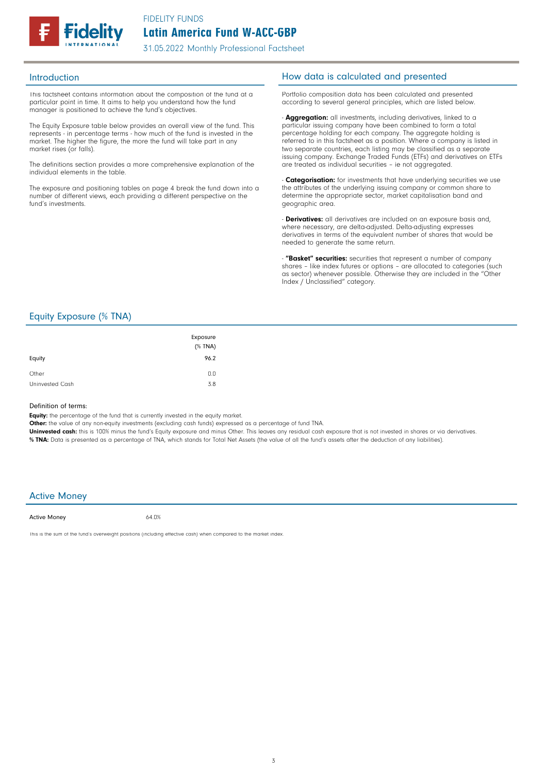

This factsheet contains information about the composition of the fund at a particular point in time. It aims to help you understand how the fund manager is positioned to achieve the fund's objectives.

The Equity Exposure table below provides an overall view of the fund. This represents - in percentage terms - how much of the fund is invested in the market. The higher the figure, the more the fund will take part in any market rises (or falls).

The definitions section provides a more comprehensive explanation of the individual elements in the table.

The exposure and positioning tables on page 4 break the fund down into a number of different views, each providing a different perspective on the fund's investments.

# Introduction **Introduction How data is calculated and presented**

Portfolio composition data has been calculated and presented according to several general principles, which are listed below.

- **Aggregation:** all investments, including derivatives, linked to a particular issuing company have been combined to form a total percentage holding for each company. The aggregate holding is referred to in this factsheet as a position. Where a company is listed in two separate countries, each listing may be classified as a separate issuing company. Exchange Traded Funds (ETFs) and derivatives on ETFs are treated as individual securities – ie not aggregated.

**Categorisation:** for investments that have underlying securities we use the attributes of the underlying issuing company or common share to determine the appropriate sector, market capitalisation band and geographic area.

- **Derivatives:** all derivatives are included on an exposure basis and, where necessary, are delta-adjusted. Delta-adjusting expresses derivatives in terms of the equivalent number of shares that would be needed to generate the same return.

"Basket" securities: securities that represent a number of company shares - like index futures or options - are allocated to categories (such as sector) whenever possible. Otherwise they are included in the "Other Index / Unclassified" category.

# Equity Exposure (% TNA)

| Equity          | Exposure<br>(% TNA)<br>96.2 |
|-----------------|-----------------------------|
| Other           | 0.0                         |
| Uninvested Cash | 3.8                         |

#### Definition of terms:

Equity: the percentage of the fund that is currently invested in the equity market.

Other: the value of any non-equity investments (excluding cash funds) expressed as a percentage of fund TNA.

Uninvested cash: this is 100% minus the fund's Equity exposure and minus Other. This leaves any residual cash exposure that is not invested in shares or via derivatives. % TNA: Data is presented as a percentage of TNA, which stands for Total Net Assets (the value of all the fund's assets after the deduction of any liabilities).

## Active Money

Active Money

64.0%

This is the sum of the fund's overweight positions (including effective cash) when compared to the market index.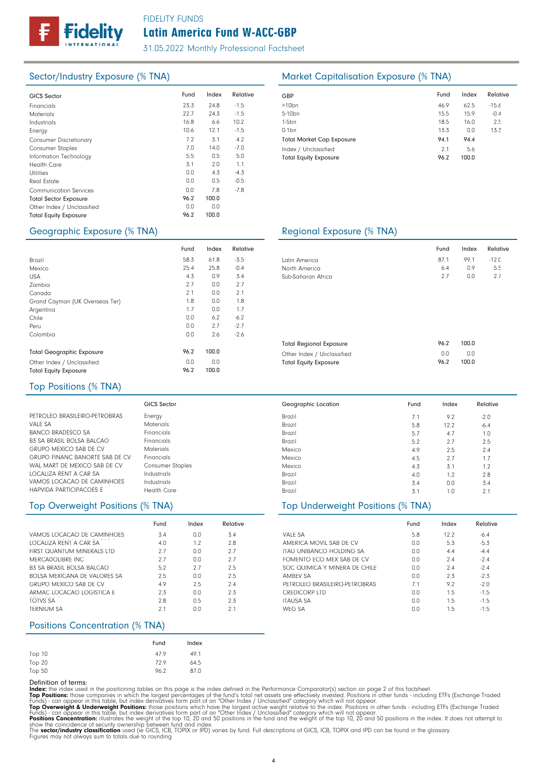

# Latin America Fund W-ACC-GBP FIDELITY FUNDS

31.05.2022 Monthly Professional Factsheet

100.0

| <b>GICS Sector</b>            | Fund | Index | Relative | GBP              |
|-------------------------------|------|-------|----------|------------------|
| Financials                    | 23.3 | 24.8  | $-1.5$   | >10 <sub>k</sub> |
| <b>Materials</b>              | 22.7 | 24.3  | $-1.5$   | $5 - 10$         |
| Industrials                   | 16.8 | 6.6   | 10.2     | $1-5b$           |
| Energy                        | 10.6 | 12.1  | $-1.5$   | $0-1b$           |
| <b>Consumer Discretionary</b> | 7.2  | 3.1   | 4.2      | Tota             |
| <b>Consumer Staples</b>       | 7.0  | 14.0  | $-7.0$   | Inde             |
| Information Technology        | 5.5  | 0.5   | 5.0      | Tota             |
| <b>Health Care</b>            | 3.1  | 2.0   | 1.1      |                  |
| <b>Utilities</b>              | 0.0  | 4.3   | $-4.3$   |                  |
| Real Estate                   | 0.0  | 0.5   | $-0.5$   |                  |
| <b>Communication Services</b> | 0.0  | 7.8   | $-7.8$   |                  |
| <b>Total Sector Exposure</b>  | 96.2 | 100.0 |          |                  |
| Other Index / Unclassified    | 0.0  | 0.0   |          |                  |
| <b>Total Equity Exposure</b>  | 96.2 | 100.0 |          |                  |
|                               |      |       |          |                  |

# Sector/Industry Exposure (% TNA) Market Capitalisation Exposure (% TNA)

| GBP                                                  | Fund        | Index        | Relative |
|------------------------------------------------------|-------------|--------------|----------|
| $>10$ bn                                             | 46.9        | 62.5         | $-15.6$  |
| 5-10 <sub>bn</sub>                                   | 15.5        | 15.9         | $-0.4$   |
| $1-5$ bn                                             | 18.5        | 16.0         | 2.5      |
| $0-1$ bn                                             | 13.3        | 0.0          | 13.3     |
| <b>Total Market Cap Exposure</b>                     | 94.1        | 94.4         |          |
| Index / Unclassified<br><b>Total Equity Exposure</b> | 2.1<br>96.2 | 5.6<br>100.0 |          |

# Geographic Exposure (% TNA) Geographic Exposure (% TNA)

Other Index / Unclassified

|                                  | Fund | Index | Relative |
|----------------------------------|------|-------|----------|
| Brazil                           | 58.3 | 61.8  | $-3.5$   |
| Mexico                           | 25.4 | 25.8  | $-0.4$   |
| <b>USA</b>                       | 4.3  | 0.9   | 3.4      |
| Zambia                           | 2.7  | 0.0   | 2.7      |
| Canada                           | 2.1  | 0.0   | 2.1      |
| Grand Cayman (UK Overseas Ter)   | 1.8  | 0.0   | 1.8      |
| Argentina                        | 1.7  | 0.0   | 1.7      |
| Chile                            | 0.0  | 6.2   | $-6.2$   |
| Peru                             | 0.0  | 2.7   | $-2.7$   |
| Colombia                         | 0.0  | 2.6   | $-2.6$   |
| <b>Total Geographic Exposure</b> | 96.2 | 100.0 |          |
| Other Index / Unclassified       | 0.0  | 0.0   |          |
| Total Fauity Exposure            | 96.2 | 100n  |          |

| Latin America                  | 87.1 | 99.1  | $-12.0$ |
|--------------------------------|------|-------|---------|
| North America                  | 6.4  | 0.9   | 5.5     |
| Sub-Saharan Africa             | 2.7  | 0.0   | 2.7     |
| <b>Total Regional Exposure</b> | 96.2 | 100.0 |         |

Fund Index Relative

0.0 100.0

0.0 96.2

#### Top Positions (% TNA)

Total Equity Exposure

|                                       | <b>GICS Sector</b>      |
|---------------------------------------|-------------------------|
| PETROLEO BRASILEIRO-PETROBRAS         | Energy                  |
| <b>VALF SA</b>                        | Materials               |
| BANCO BRADESCO SA                     | Financials              |
| B3 SA BRASIL BOLSA BALCAO             | Financials              |
| <b>GRUPO MEXICO SAB DE CV</b>         | Materials               |
| <b>GRUPO FINANC BANORTE SAB DE CV</b> | Financials              |
| WAL MART DE MEXICO SAB DE CV          | <b>Consumer Staples</b> |
| LOCALIZA RENT A CAR SA                | Industrials             |
| VAMOS LOCACAO DE CAMINHOES            | Industrials             |
| HAPVIDA PARTICIPACOES F               | Health Care             |

# Top Overweight Positions (% TNA) Top Underweight Positions (% TNA)

|                               | Fund | Index | Relative |
|-------------------------------|------|-------|----------|
| VAMOS LOCACAO DE CAMINHOES    | 3.4  | 0.0   | 3.4      |
| LOCALIZA RENT A CAR SA        | 4.0  | 1.2   | 2.8      |
| FIRST QUANTUM MINERALS LTD    | 2.7  | 0.0   | 2.7      |
| MFRCADOLIBRE INC              | 2.7  | 0.0   | 27       |
| B3 SA BRASIL BOLSA BALCAO     | 5.2  | 2.7   | 2.5      |
| ROLSA MEXICANA DE VALORES SA  | 2.5  | 0.0   | 2.5      |
| <b>GRUPO MEXICO SAB DE CV</b> | 4.9  | 2.5   | 7.4      |
| ARMAC LOCACAO LOGISTICA F     | 2.3  | 0.0   | 2.3      |
| TOTVS SA                      | 2.8  | 0.5   | 2.3      |
| <b>TERNIUM SA</b>             | 21   | 0.0   | 21       |

## Positions Concentration (% TNA)

|        | Fund | Index |
|--------|------|-------|
| Top 10 | 47.9 | 49.1  |
| Top 20 | 72.9 | 64.5  |
| Top 50 | 96.2 | 87.0  |

Definition of terms:<br>
Top Positions: these din the positioning tables on this page is the index defined in the Performance Comparator(s) section on page 2 of this factsheet.<br>
ITOP Positions: those companies in which the la

# Total Equity Exposure

| Geographic Location | Fund | Index | Relative |  |
|---------------------|------|-------|----------|--|
| Brazil              | 7.1  | 9.2   | $-2.0$   |  |
| Brazil              | 5.8  | 12.2  | $-6.4$   |  |
| Brazil              | 5.7  | 4.7   | 1.0      |  |
| Brazil              | 5.2  | 2.7   | 2.5      |  |
| Mexico              | 4.9  | 2.5   | 2.4      |  |
| Mexico              | 4.5  | 2.7   | 1.7      |  |
| Mexico              | 4.3  | 3.1   | 1.2      |  |
| Brazil              | 4.0  | 1.2   | 2.8      |  |
| Brazil              | 3.4  | 0.0   | 3.4      |  |
| Brazil              | 3.1  | 1.0   | 2.1      |  |

|                               | Fund | Index | Relative |
|-------------------------------|------|-------|----------|
| VALF SA                       | 5.8  | 12.2  | $-6.4$   |
| AMERICA MOVIL SAB DE CV       | 0.0  | 5.3   | $-5.3$   |
| ITAU UNIBANCO HOLDING SA      | 0.0  | 4.4   | $-4.4$   |
| FOMENTO FCO MEX SAB DE CV     | 0.0  | 7.4   | $-2.4$   |
| SOC OUIMICA Y MINERA DE CHILE | 0.0  | 7.4   | $-2.4$   |
| <b>AMREV SA</b>               | 0.0  | 2.3   | $-2.3$   |
| PETROLEO BRASILEIRO-PETROBRAS | 7.1  | 9.2   | $-2.0$   |
| <b>CREDICORP LTD</b>          | 0.0  | 1.5   | $-1.5$   |
| <b>ITAUSA SA</b>              | 0.0  | 1.5   | $-1.5$   |
| WFG SA                        | 0.0  | 1.5   | $-1.5$   |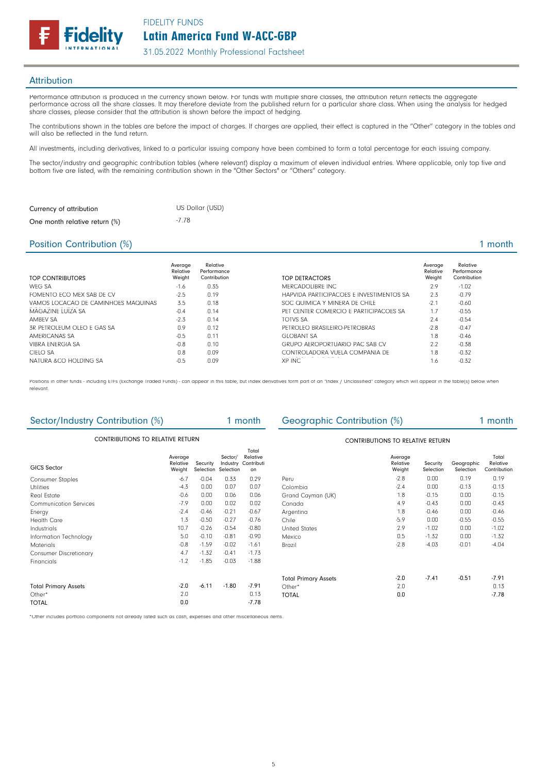FIDELITY FUNDS delitv

#### **Attribution**

Performance attribution is produced in the currency shown below. For funds with multiple share classes, the attribution return reflects the aggregate performance across all the share classes. It may therefore deviate from the published return for a particular share class. When using the analysis for hedged share classes, please consider that the attribution is shown before the impact of hedging.

The contributions shown in the tables are before the impact of charges. If charges are applied, their effect is captured in the "Other" category in the tables and will also be reflected in the fund return.

All investments, including derivatives, linked to a particular issuing company have been combined to form a total percentage for each issuing company.

The sector/industry and geographic contribution tables (where relevant) display a maximum of eleven individual entries. Where applicable, only top five and bottom five are listed, with the remaining contribution shown in the "Other Sectors" or "Others" category.

| Currency of attribution       | US Dollar (USD) |
|-------------------------------|-----------------|
| One month relative return (%) | $-7.78$         |

## Position Contribution (%) 2 and 2 and 2 and 2 and 2 and 2 and 2 and 2 and 2 and 2 and 2 and 2 and 2 and 2 and 2 and 2 and 2 and 2 and 2 and 2 and 2 and 2 and 2 and 2 and 2 and 2 and 2 and 2 and 2 and 2 and 2 and 2 and 2 an

| TOP CONTRIBUTORS                    | Average<br>Relative<br>Weight | Relative<br>Performance<br>Contribution | TOP DETRACTORS                           | Average<br>Relative<br>Weight | Relative<br>Performance<br>Contribution |
|-------------------------------------|-------------------------------|-----------------------------------------|------------------------------------------|-------------------------------|-----------------------------------------|
| WFG SA                              | $-1.6$                        | 0.35                                    | MERCADOLIBRE INC.                        | 2.9                           | $-1.02$                                 |
| FOMENTO FCO MEX SAB DE CV           | $-2.5$                        | 0.19                                    | HAPVIDA PARTICIPACOES E INVESTIMENTOS SA | 2.3                           | $-0.79$                                 |
| VAMOS LOCACAO DE CAMINHOES MAQUINAS | 3.5                           | 0.18                                    | SOC QUIMICA Y MINERA DE CHILE            | $-2.1$                        | $-0.60$                                 |
| MAGAZINE LUIZA SA                   | $-0.4$                        | 0.14                                    | PET CENTER COMERCIO E PARTICIPACOES SA   | 1.7                           | $-0.55$                                 |
| <b>AMBEV SA</b>                     | $-2.3$                        | 0.14                                    | TOTVS SA                                 | 2.4                           | $-0.54$                                 |
| 3R PETROLEUM OLEO E GAS SA          | 0.9                           | 0.12                                    | PETROLEO BRASILEIRO-PETROBRAS            | $-2.8$                        | $-0.47$                                 |
| AMFRICANAS SA                       | $-0.5$                        | 0.11                                    | <b>GLOBANT SA</b>                        | 1.8                           | $-0.46$                                 |
| <b>VIBRA ENFRGIA SA</b>             | $-0.8$                        | 0.10                                    | <b>GRUPO AFROPORTUARIO PAC SAB CV</b>    | 2.2                           | $-0.38$                                 |
| CIELO SA                            | 0.8                           | 0.09                                    | CONTROLADORA VUELA COMPANIA DE           | 1.8                           | $-0.32$                                 |
| NATURA & CO HOLDING SA              | $-0.5$                        | 0.09                                    | XP INC                                   | 1.6                           | $-0.32$                                 |

Positions in other funds - including ETFs (Exchange Traded Funds) - can appear in this table, but index derivatives form part of an "Index / Unclassified" category which will appear in the table(s) below when relevant.

| Sector/Industry Contribution (%) |                               |          |                                            | 1 month                               | Geographic Contribution (%) |                               |                       |                         | 1 month                           |
|----------------------------------|-------------------------------|----------|--------------------------------------------|---------------------------------------|-----------------------------|-------------------------------|-----------------------|-------------------------|-----------------------------------|
| CONTRIBUTIONS TO RELATIVE RETURN |                               |          | <b>CONTRIBUTIONS TO RELATIVE RETURN</b>    |                                       |                             |                               |                       |                         |                                   |
| <b>GICS Sector</b>               | Average<br>Relative<br>Weight | Security | Sector/<br>Industry<br>Selection Selection | Total<br>Relative<br>Contributi<br>on |                             | Average<br>Relative<br>Weight | Security<br>Selection | Geographic<br>Selection | Total<br>Relative<br>Contribution |
| <b>Consumer Staples</b>          | $-6.7$                        | $-0.04$  | 0.33                                       | 0.29                                  | Peru                        | $-2.8$                        | 0.00                  | 0.19                    | 0.19                              |
| <b>Utilities</b>                 | $-4.3$                        | 0.00     | 0.07                                       | 0.07                                  | Colombia                    | $-2.4$                        | 0.00                  | $-0.13$                 | $-0.13$                           |
| Real Estate                      | $-0.6$                        | 0.00     | 0.06                                       | 0.06                                  | Grand Cayman (UK)           | 1.8                           | $-0.15$               | 0.00                    | $-0.15$                           |
| <b>Communication Services</b>    | $-7.9$                        | 0.00     | 0.02                                       | 0.02                                  | Canada                      | 4.9                           | $-0.43$               | 0.00                    | $-0.43$                           |
| Energy                           | $-2.4$                        | $-0.46$  | $-0.21$                                    | $-0.67$                               | Argentina                   | 1.8                           | $-0.46$               | 0.00                    | $-0.46$                           |
| <b>Health Care</b>               | 1.3                           | $-0.50$  | $-0.27$                                    | $-0.76$                               | Chile                       | $-5.9$                        | 0.00                  | $-0.55$                 | $-0.55$                           |
| Industrials                      | 10.7                          | $-0.26$  | $-0.54$                                    | $-0.80$                               | <b>United States</b>        | 2.9                           | $-1.02$               | 0.00                    | $-1.02$                           |
| Information Technology           | 5.0                           | $-0.10$  | $-0.81$                                    | $-0.90$                               | Mexico                      | 0.5                           | $-1.32$               | 0.00                    | $-1.32$                           |
| <b>Materials</b>                 | $-0.8$                        | $-1.59$  | $-0.02$                                    | $-1.61$                               | Brazil                      | $-2.8$                        | $-4.03$               | $-0.01$                 | $-4.04$                           |
| <b>Consumer Discretionary</b>    | 4.7                           | $-1.32$  | $-0.41$                                    | $-1.73$                               |                             |                               |                       |                         |                                   |
| Financials                       | $-1.2$                        | $-1.85$  | $-0.03$                                    | $-1.88$                               |                             |                               |                       |                         |                                   |
|                                  |                               |          |                                            |                                       | <b>Total Primary Assets</b> | $-2.0$                        | $-7.41$               | $-0.51$                 | $-7.91$                           |
| <b>Total Primary Assets</b>      | $-2.0$                        | $-6.11$  | $-1.80$                                    | $-7.91$                               | Other*                      | 2.0                           |                       |                         | 0.13                              |
| Other*                           | 2.0                           |          |                                            | 0.13                                  | <b>TOTAL</b>                | 0.0                           |                       |                         | $-7.78$                           |
| <b>TOTAL</b>                     | 0.0                           |          |                                            | $-7.78$                               |                             |                               |                       |                         |                                   |

\*Other includes portfolio components not already listed such as cash, expenses and other miscellaneous items.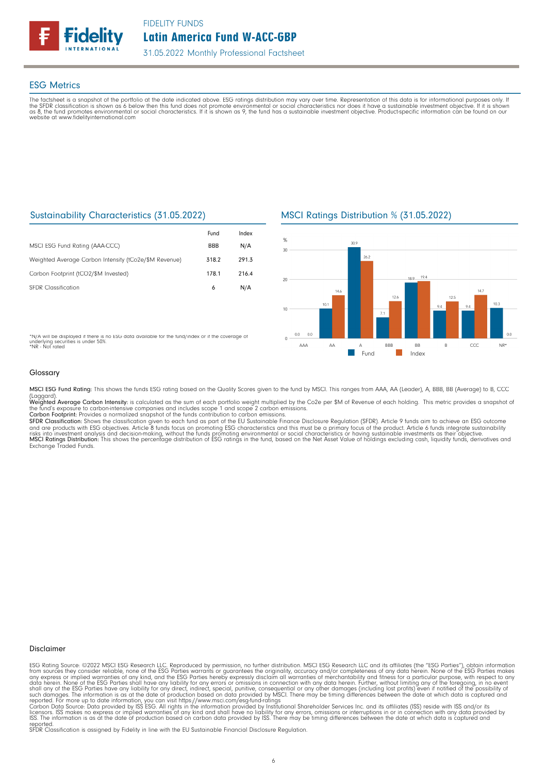

#### ESG Metrics

The factsheet is a snapshot of the portfolio at the date indicated above. ESG ratings distribution may vary over time. Representation of this data is for informational purposes only. If<br>the SFDR classification is shown as website at www.fidelityinternational.com

# Sustainability Characteristics (31.05.2022)

|                                                       | Fund       | Index |
|-------------------------------------------------------|------------|-------|
| MSCI ESG Fund Rating (AAA-CCC)                        | <b>BBB</b> | N/A   |
| Weighted Average Carbon Intensity (tCo2e/\$M Revenue) | 318.2      | 291.3 |
| Carbon Footprint (tCO2/\$M Invested)                  | 178.1      | 216.4 |
| <b>SEDR</b> Classification                            | 6          | N/A   |

# MSCI Ratings Distribution % (31.05.2022)



\*N/A will be displayed if there is no ESG data available for the fund/index or if the coverage of underlying securities is under 50%. \*NR - Not rated

#### Glossary

MSCI ESG Fund Rating: This shows the funds ESG rating based on the Quality Scores given to the fund by MSCI. This ranges from AAA, AA (Leader), A, BBB, BB (Average) to B, CCC

(Laggard).<br>**Weighted Average Carbon Intensity**: is calculated as the sum of each portfolio weight multiplied by the Co2e per \$M of Revenue of each holding. This metric provides a snapshot o

the fund's exposure to carbon-intensive companies and includes scope 1 and scope 2 carbon emissions.<br>**Carbon Footprint**: Provides a normalized snapshot of the funds contribution to carbon emissions.<br>**SFDR Classification:** and are products with ESG objectives. Article 8 funds focus on promoting ESG characteristics and this must be a primary focus of the product. Article 6 funds integrate sustainability<br>risks into investment analysis and deci

#### Disclaimer

ESG Rating Source: ©2022 MSCI ESG Research LLC. Reproduced by permission, no further distribution. MSCI ESG Research LLC and its affiliates (the "ESG Parties"), obtain information<br>from sources they consider reliable, none

reported. SFDR Classification is assigned by Fidelity in line with the EU Sustainable Financial Disclosure Regulation.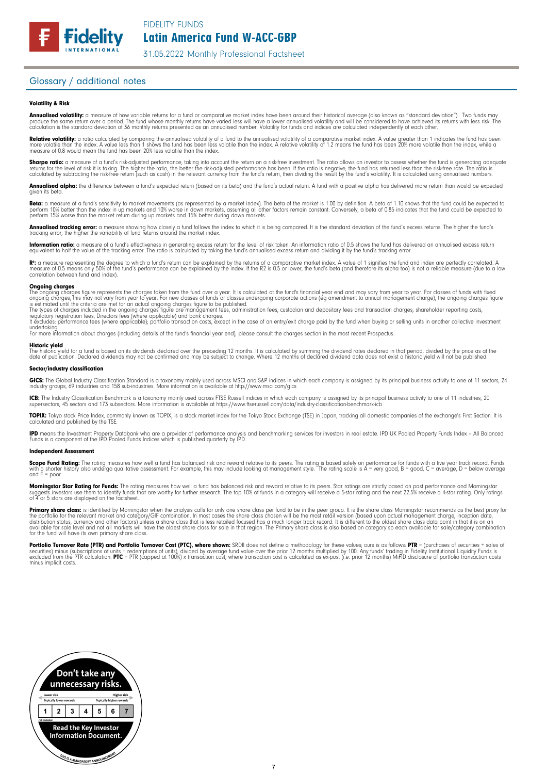## Glossary / additional notes

#### Volatility & Risk

**Annualised volatility:** a measure of how variable returns for a fund or comparative market index have been around their historical average (also known as "standard deviation"). Two funds may<br>produce the same return over a calculation is the standard deviation of 36 monthly returns presented as an annualised number. Volatility for funds and indices are calculated independently of each other

**Relative volatility:** a ratio calculated by comparing the annualised volatility of a fund to the annualised volatility of a comparative market index. A value greater than 1 indicates the fund has been<br>more volatile than t measure of 0.8 would mean the fund has been 20% less volatile than the index.

**Sharpe ratio:** a measure of a fund's risk-adjusted performance, taking into account the return on a risk-free investment. The ratio allows an investor to assess whether the fund is generating adequate the tund is generati

Annualised alpha: the difference between a fund's expected return (based on its beta) and the fund's actual return. A fund with a positive alpha has delivered more return than would be expected given its beta

**Beta:** a measure of a fund's sensitivity to market movements (as represented by a market index). The beta of the market is 1.00 by definition. A beta of 1.10 shows that the fund could be expected to<br>perform 10% better tha perform 15% worse than the market return during up markets and 15% better during down markets.

**Annualised tracking error:** a measure showing how closely a tund tollows the index to which it is being compared. It is the standard deviation of the fund's excess returns. The higher the fund's<br>tracking error, the higher

**Information ratio:** a measure ot a tund's eftectiveness in generating excess return for the level of risk taken. An information ratio of U.5 shows the fund has delivered an annualised excess return<br>equivalent to half the

Rº: a measure representing the degree to which a fund's return can be explained by the returns of a comparative market index. A value of 1 signifies the fund and index are perfectly correlated. A<br>measure of 0.5 means only correlation between fund and index).

**Ongoing charges** figure represents the charges taken from the fund over a year. It is calculated at the fund's financial year end and may vary from year to year. For classes of funds with fixed ongoing charges figure repr

For more information about charges (including details of the fund's financial year end), please consult the charges section in the most recent Prospectus.

**Historic yield**<br>The historic yield for a fund is based on its dividends declared over the preceding 12 months. It is calculated by summing the dividend rates declared in that period, divided by the price as at the date of publication. Declared dividends may not be confirmed and may be subject to change. Where 12 months of declared dividend data does not exist a historic yield will not be published.

#### Sector/industry classification

GICS: The Global Industry Classification Standard is a taxonomy mainly used across MSCI and S&P indices in which each company is assigned by its principal business activity to one of 11 sectors, 24 industry groups, 69 industries and 158 sub-industries. More information is available at http://www.msci.com/gics

**ICB:** The Industry Classitication Benchmark is a taxonomy mainly used across FTSE Russell indices in which each company is assigned by its principal business activity to one of 11 industries, 20<br>supersectors, 45 sectors a

TOPIX: Tokyo stock Price Index, commonly known as TOPIX, is a stock market index for the Tokyo Stock Exchange (TSE) in Japan, tracking all domestic companies of the exchange's First Section. It is calculated and published by the TSE.

**IPD** means the Investment Property Databank who are a provider of performance analysis and benchmarking services for investors in real estate. IPD UK Pooled Property Funds Index - All Balanced<br>Funds is a component of the

#### Independent Assessment

**Scope Fund Rating:** The rating measures how well a fund has balanced risk and reward relative to its peers. The rating is based solely on performance for funds with a five year track record. Funds<br>with a shorter history a and  $E = poor$ 

**Morningstar Star Rating for Funds:** The rating measures how well a tund has balanced risk and reward relative to its peers. Star ratings are strictly based on past performance and Morningstar<br>suggests investors use them t

**Primary share class:** is identified by Morningstar when the analysis calls for only one share class per fund to be in the peer group. It is the share class Morningstar recommends as the best proxy for the best proxy for c for the fund will have its own primary share class.

Portfolio Turnover Rate (PTR) and Portfolio Turnover Cost (PTC), where shown: SRDII does not define a methodology for these values; ours is as follows: PTR = (purchases of securities + sales of<br>securities) minus (subscript minus implicit costs.